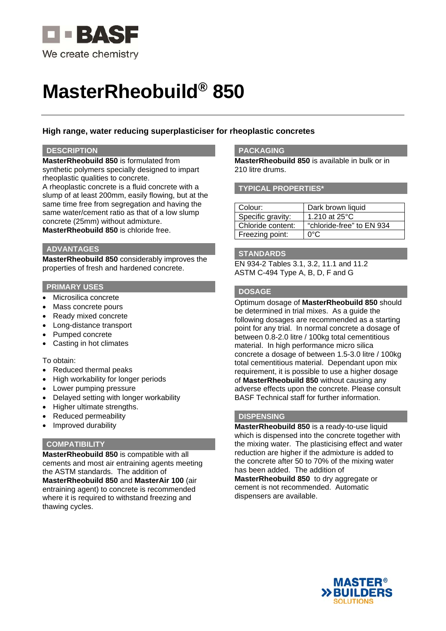

# **MasterRheobuild® 850**

# **High range, water reducing superplasticiser for rheoplastic concretes**

## **DESCRIPTION**

**MasterRheobuild 850** is formulated from synthetic polymers specially designed to impart rheoplastic qualities to concrete.

A rheoplastic concrete is a fluid concrete with a slump of at least 200mm, easily flowing, but at the same time free from segregation and having the same water/cement ratio as that of a low slump concrete (25mm) without admixture. **MasterRheobuild 850** is chloride free.

## **ADVANTAGES**

**MasterRheobuild 850** considerably improves the properties of fresh and hardened concrete.

## **PRIMARY USES**

- Microsilica concrete
- Mass concrete pours
- Ready mixed concrete
- Long-distance transport
- Pumped concrete
- Casting in hot climates

#### To obtain:

- Reduced thermal peaks
- High workability for longer periods
- Lower pumping pressure
- Delayed setting with longer workability
- Higher ultimate strengths.
- Reduced permeability
- Improved durability

## **COMPATIBILITY**

**MasterRheobuild 850** is compatible with all cements and most air entraining agents meeting the ASTM standards. The addition of **MasterRheobuild 850** and **MasterAir 100** (air entraining agent) to concrete is recommended where it is required to withstand freezing and thawing cycles.

## **PACKAGING**

**MasterRheobuild 850** is available in bulk or in 210 litre drums.

#### **TYPICAL PROPERTIES\***

| Colour:           | Dark brown liquid         |
|-------------------|---------------------------|
| Specific gravity: | 1.210 at $25^{\circ}$ C   |
| Chloride content: | "chloride-free" to EN 934 |
| Freezing point:   | ∩∘∩                       |

## **STANDARDS**

EN 934-2 Tables 3.1, 3.2, 11.1 and 11.2 ASTM C-494 Type A, B, D, F and G

# **DOSAGE**

Optimum dosage of **MasterRheobuild 850** should be determined in trial mixes. As a guide the following dosages are recommended as a starting point for any trial. In normal concrete a dosage of between 0.8-2.0 litre / 100kg total cementitious material. In high performance micro silica concrete a dosage of between 1.5-3.0 litre / 100kg total cementitious material. Dependant upon mix requirement, it is possible to use a higher dosage of **MasterRheobuild 850** without causing any adverse effects upon the concrete. Please consult BASF Technical staff for further information.

# **DISPENSING**

**MasterRheobuild 850** is a ready-to-use liquid which is dispensed into the concrete together with the mixing water. The plasticising effect and water reduction are higher if the admixture is added to the concrete after 50 to 70% of the mixing water has been added. The addition of

**MasterRheobuild 850** to dry aggregate or cement is not recommended. Automatic dispensers are available.